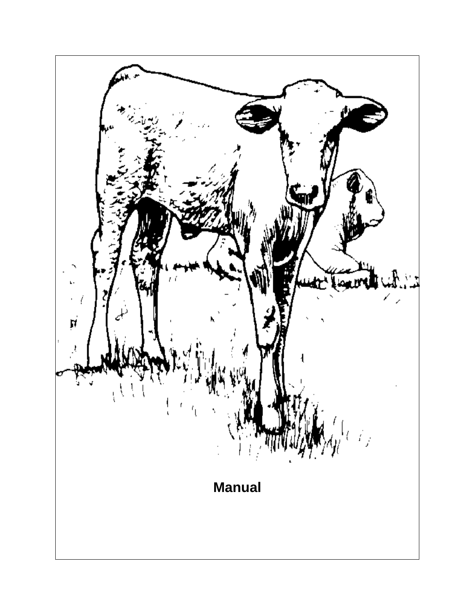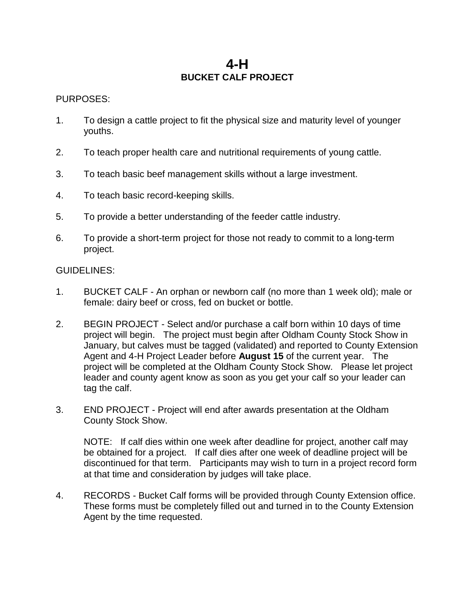## **4-H BUCKET CALF PROJECT**

#### PURPOSES:

- 1. To design a cattle project to fit the physical size and maturity level of younger youths.
- 2. To teach proper health care and nutritional requirements of young cattle.
- 3. To teach basic beef management skills without a large investment.
- 4. To teach basic record-keeping skills.
- 5. To provide a better understanding of the feeder cattle industry.
- 6. To provide a short-term project for those not ready to commit to a long-term project.

#### GUIDELINES:

- 1. BUCKET CALF An orphan or newborn calf (no more than 1 week old); male or female: dairy beef or cross, fed on bucket or bottle.
- 2. BEGIN PROJECT Select and/or purchase a calf born within 10 days of time project will begin. The project must begin after Oldham County Stock Show in January, but calves must be tagged (validated) and reported to County Extension Agent and 4-H Project Leader before **August 15** of the current year. The project will be completed at the Oldham County Stock Show. Please let project leader and county agent know as soon as you get your calf so your leader can tag the calf.
- 3. END PROJECT Project will end after awards presentation at the Oldham County Stock Show.

NOTE: If calf dies within one week after deadline for project, another calf may be obtained for a project. If calf dies after one week of deadline project will be discontinued for that term. Participants may wish to turn in a project record form at that time and consideration by judges will take place.

4. RECORDS - Bucket Calf forms will be provided through County Extension office. These forms must be completely filled out and turned in to the County Extension Agent by the time requested.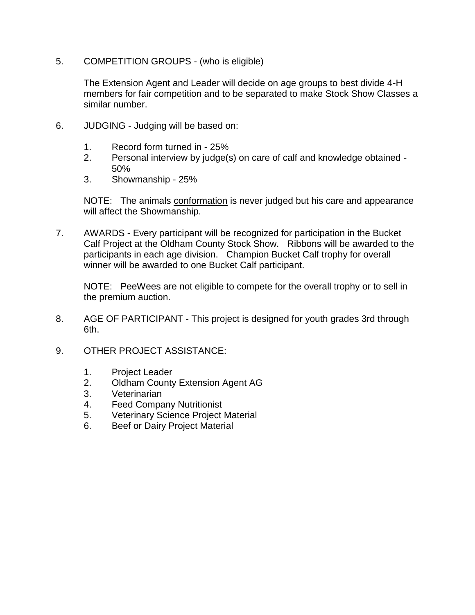5. COMPETITION GROUPS - (who is eligible)

The Extension Agent and Leader will decide on age groups to best divide 4-H members for fair competition and to be separated to make Stock Show Classes a similar number.

- 6. JUDGING Judging will be based on:
	- 1. Record form turned in 25%
	- 2. Personal interview by judge(s) on care of calf and knowledge obtained 50%
	- 3. Showmanship 25%

NOTE: The animals conformation is never judged but his care and appearance will affect the Showmanship.

7. AWARDS - Every participant will be recognized for participation in the Bucket Calf Project at the Oldham County Stock Show. Ribbons will be awarded to the participants in each age division. Champion Bucket Calf trophy for overall winner will be awarded to one Bucket Calf participant.

NOTE: PeeWees are not eligible to compete for the overall trophy or to sell in the premium auction.

- 8. AGE OF PARTICIPANT This project is designed for youth grades 3rd through 6th.
- 9. OTHER PROJECT ASSISTANCE:
	- 1. Project Leader
	- 2. Oldham County Extension Agent AG
	- 3. Veterinarian
	- 4. Feed Company Nutritionist
	- 5. Veterinary Science Project Material
	- 6. Beef or Dairy Project Material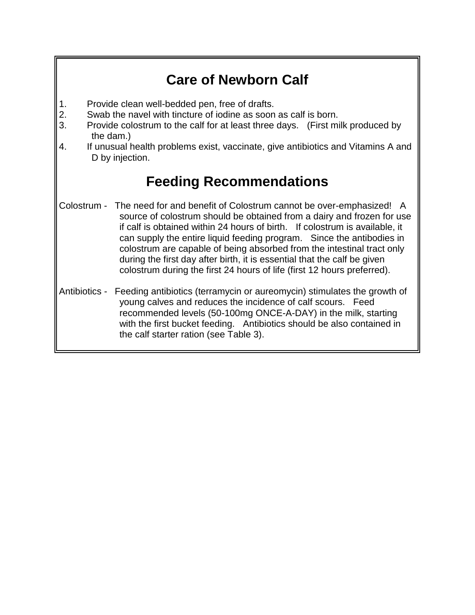# **Care of Newborn Calf**

- 1. Provide clean well-bedded pen, free of drafts.
- 2. Swab the navel with tincture of iodine as soon as calf is born.
- 3. Provide colostrum to the calf for at least three days. (First milk produced by the dam.)
- 4. If unusual health problems exist, vaccinate, give antibiotics and Vitamins A and D by injection.

# **Feeding Recommendations**

- Colostrum The need for and benefit of Colostrum cannot be over-emphasized! A source of colostrum should be obtained from a dairy and frozen for use if calf is obtained within 24 hours of birth. If colostrum is available, it can supply the entire liquid feeding program. Since the antibodies in colostrum are capable of being absorbed from the intestinal tract only during the first day after birth, it is essential that the calf be given colostrum during the first 24 hours of life (first 12 hours preferred).
- Antibiotics Feeding antibiotics (terramycin or aureomycin) stimulates the growth of young calves and reduces the incidence of calf scours. Feed recommended levels (50-100mg ONCE-A-DAY) in the milk, starting with the first bucket feeding. Antibiotics should be also contained in the calf starter ration (see Table 3).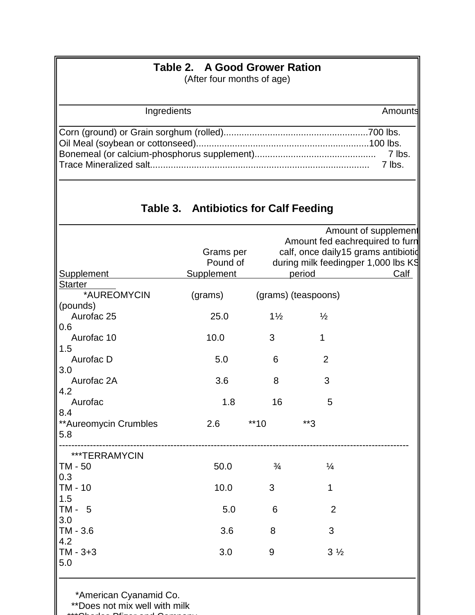| Table 2. A Good Grower Ration<br>(After four months of age) |                                       |                     |                                                                                                                                                         |                  |  |  |  |  |
|-------------------------------------------------------------|---------------------------------------|---------------------|---------------------------------------------------------------------------------------------------------------------------------------------------------|------------------|--|--|--|--|
| Ingredients                                                 |                                       |                     |                                                                                                                                                         |                  |  |  |  |  |
|                                                             |                                       |                     |                                                                                                                                                         | 7 lbs.<br>7 lbs. |  |  |  |  |
|                                                             | Table 3. Antibiotics for Calf Feeding |                     |                                                                                                                                                         |                  |  |  |  |  |
| Supplement                                                  | Grams per<br>Pound of<br>Supplement   |                     | Amount of supplement<br>Amount fed eachrequired to furn<br>calf, once daily15 grams antibiotid<br>during milk feedingper 1,000 lbs Kg<br>period<br>Calf |                  |  |  |  |  |
| <b>Starter</b><br>*AUREOMYCIN                               | (grams)                               | (grams) (teaspoons) |                                                                                                                                                         |                  |  |  |  |  |
| (pounds)<br>Aurofac 25<br>0.6                               | 25.0                                  | $1\frac{1}{2}$      | $\frac{1}{2}$                                                                                                                                           |                  |  |  |  |  |
| Aurofac 10<br>1.5                                           | 10.0                                  | 3                   | 1                                                                                                                                                       |                  |  |  |  |  |
| Aurofac D<br>3.0                                            | 5.0                                   | 6                   | $\overline{2}$                                                                                                                                          |                  |  |  |  |  |
| Aurofac 2A<br>4.2                                           | 3.6                                   | 8                   | 3                                                                                                                                                       |                  |  |  |  |  |
| Aurofac<br>8.4                                              | 1.8                                   | 16                  | 5                                                                                                                                                       |                  |  |  |  |  |

| **Aureomycin Crumbles<br>5.8 | 2.6  | $**10$        | **3            |  |
|------------------------------|------|---------------|----------------|--|
| ***TERRAMYCIN                |      |               |                |  |
| TM - 50                      | 50.0 | $\frac{3}{4}$ | $\frac{1}{4}$  |  |
| 0.3                          |      |               |                |  |
| TM - 10                      | 10.0 | 3             | 1              |  |
| 1.5                          |      |               |                |  |
| $TM - 5$                     | 5.0  | 6             | 2              |  |
| 3.0                          |      |               |                |  |
| TM - 3.6                     | 3.6  | 8             | 3              |  |
| 4.2                          |      |               |                |  |
| $TM - 3 + 3$                 | 3.0  | 9             | $3\frac{1}{2}$ |  |
| 5.0                          |      |               |                |  |
|                              |      |               |                |  |

\*American Cyanamid Co.

\*\*Does not mix well with milk

\*\*\*Charles Pfizer and Company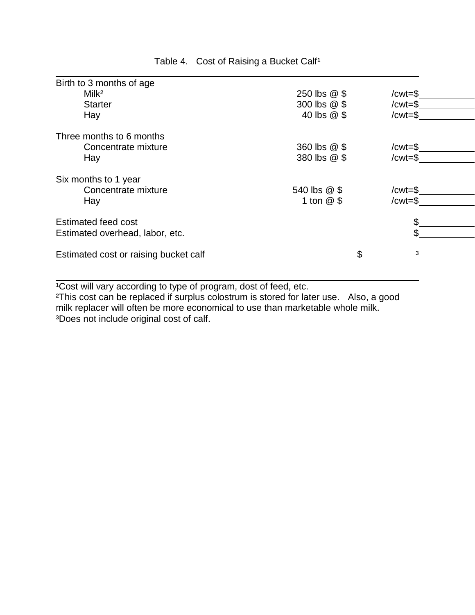| Birth to 3 months of age              |              |             |  |
|---------------------------------------|--------------|-------------|--|
| Milk <sup>2</sup>                     | 250 lbs @ \$ | / $cwt = $$ |  |
| <b>Starter</b>                        | 300 lbs @ \$ | /cwt=\$     |  |
| Hay                                   | 40 lbs @ \$  | $/cwt = $$  |  |
| Three months to 6 months              |              |             |  |
| Concentrate mixture                   | 360 lbs @ \$ | / $cwt = $$ |  |
| Hay                                   | 380 lbs @ \$ | $/cwt = $$  |  |
| Six months to 1 year                  |              |             |  |
| Concentrate mixture                   | 540 lbs @ \$ | /cwt=\$     |  |
| Hay                                   | 1 ton $@$ \$ | $/cwt = $$  |  |
| <b>Estimated feed cost</b>            |              | \$          |  |
| Estimated overhead, labor, etc.       |              |             |  |
|                                       |              |             |  |
| Estimated cost or raising bucket calf | \$           | 3           |  |
|                                       |              |             |  |

Table 4. Cost of Raising a Bucket Calf<sup>1</sup>

<sup>1</sup>Cost will vary according to type of program, dost of feed, etc.

<sup>2</sup>This cost can be replaced if surplus colostrum is stored for later use. Also, a good milk replacer will often be more economical to use than marketable whole milk. ³Does not include original cost of calf.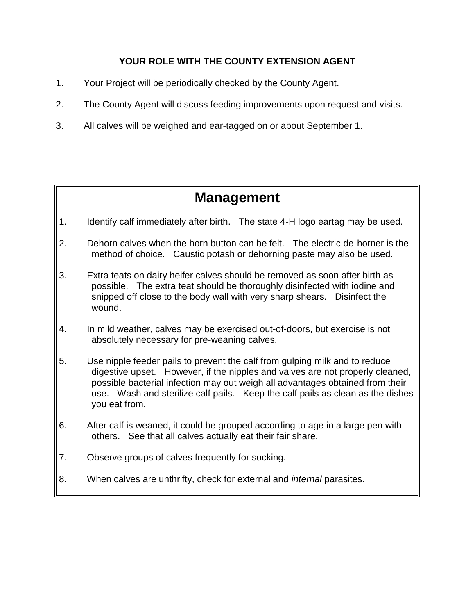## **YOUR ROLE WITH THE COUNTY EXTENSION AGENT**

- 1. Your Project will be periodically checked by the County Agent.
- 2. The County Agent will discuss feeding improvements upon request and visits.
- 3. All calves will be weighed and ear-tagged on or about September 1.

# **Management**

- 1. Identify calf immediately after birth. The state 4-H logo eartag may be used.
- 2. Dehorn calves when the horn button can be felt. The electric de-horner is the method of choice. Caustic potash or dehorning paste may also be used.
- 3. Extra teats on dairy heifer calves should be removed as soon after birth as possible. The extra teat should be thoroughly disinfected with iodine and snipped off close to the body wall with very sharp shears. Disinfect the wound.
- 4. In mild weather, calves may be exercised out-of-doors, but exercise is not absolutely necessary for pre-weaning calves.
- 5. Use nipple feeder pails to prevent the calf from gulping milk and to reduce digestive upset. However, if the nipples and valves are not properly cleaned, possible bacterial infection may out weigh all advantages obtained from their use. Wash and sterilize calf pails. Keep the calf pails as clean as the dishes you eat from.
- 6. After calf is weaned, it could be grouped according to age in a large pen with others. See that all calves actually eat their fair share.
- 7. Observe groups of calves frequently for sucking.
- 8. When calves are unthrifty, check for external and *internal* parasites.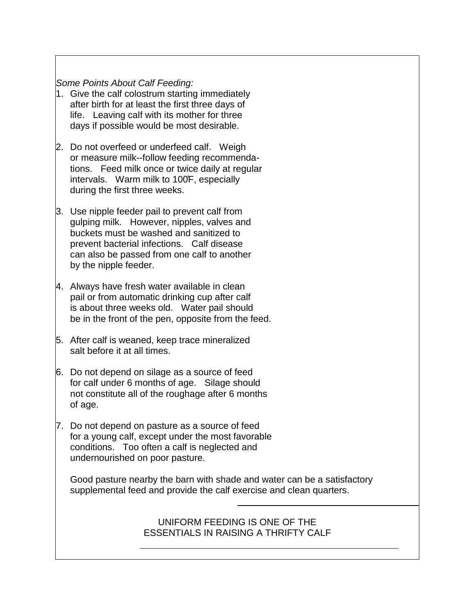### *Some Points About Calf Feeding:*

- 1. Give the calf colostrum starting immediately after birth for at least the first three days of life. Leaving calf with its mother for three days if possible would be most desirable.
- 2. Do not overfeed or underfeed calf. Weigh or measure milk--follow feeding recommendations. Feed milk once or twice daily at regular intervals. Warm milk to 100̊F, especially during the first three weeks.
- 3. Use nipple feeder pail to prevent calf from gulping milk. However, nipples, valves and buckets must be washed and sanitized to prevent bacterial infections. Calf disease can also be passed from one calf to another by the nipple feeder.
- 4. Always have fresh water available in clean pail or from automatic drinking cup after calf is about three weeks old. Water pail should be in the front of the pen, opposite from the feed.
- 5. After calf is weaned, keep trace mineralized salt before it at all times.
- 6. Do not depend on silage as a source of feed for calf under 6 months of age. Silage should not constitute all of the roughage after 6 months of age.
- 7. Do not depend on pasture as a source of feed for a young calf, except under the most favorable conditions. Too often a calf is neglected and undernourished on poor pasture.

 $\overline{a}$ 

Good pasture nearby the barn with shade and water can be a satisfactory supplemental feed and provide the calf exercise and clean quarters.

## UNIFORM FEEDING IS ONE OF THE ESSENTIALS IN RAISING A THRIFTY CALF